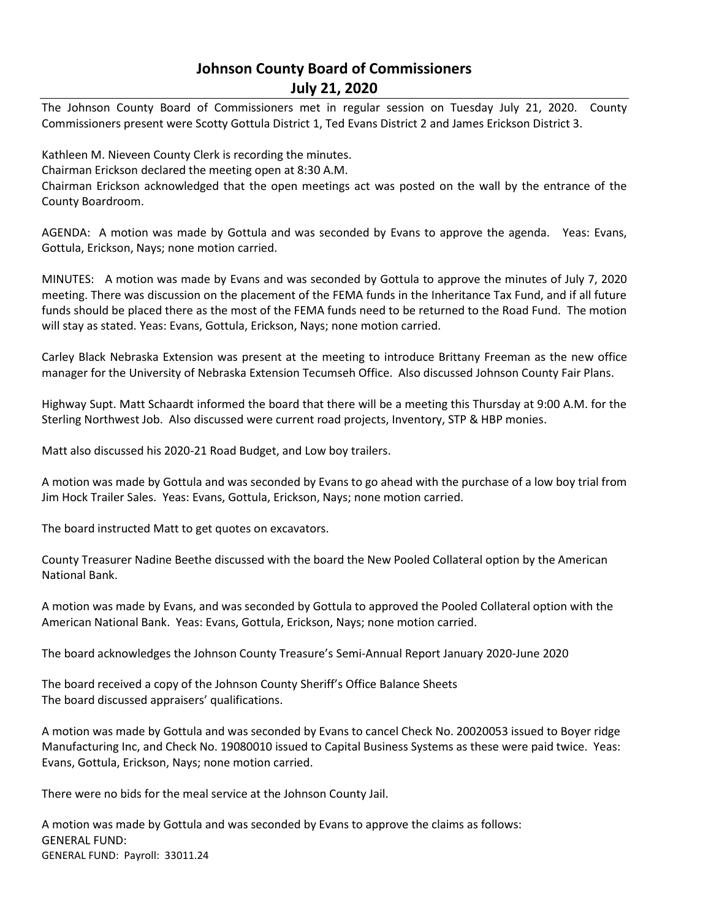## **Johnson County Board of Commissioners July 21, 2020**

The Johnson County Board of Commissioners met in regular session on Tuesday July 21, 2020. County Commissioners present were Scotty Gottula District 1, Ted Evans District 2 and James Erickson District 3.

Kathleen M. Nieveen County Clerk is recording the minutes. Chairman Erickson declared the meeting open at 8:30 A.M. Chairman Erickson acknowledged that the open meetings act was posted on the wall by the entrance of the

County Boardroom.

AGENDA: A motion was made by Gottula and was seconded by Evans to approve the agenda. Yeas: Evans, Gottula, Erickson, Nays; none motion carried.

MINUTES: A motion was made by Evans and was seconded by Gottula to approve the minutes of July 7, 2020 meeting. There was discussion on the placement of the FEMA funds in the Inheritance Tax Fund, and if all future funds should be placed there as the most of the FEMA funds need to be returned to the Road Fund. The motion will stay as stated. Yeas: Evans, Gottula, Erickson, Nays; none motion carried.

Carley Black Nebraska Extension was present at the meeting to introduce Brittany Freeman as the new office manager for the University of Nebraska Extension Tecumseh Office. Also discussed Johnson County Fair Plans.

Highway Supt. Matt Schaardt informed the board that there will be a meeting this Thursday at 9:00 A.M. for the Sterling Northwest Job. Also discussed were current road projects, Inventory, STP & HBP monies.

Matt also discussed his 2020-21 Road Budget, and Low boy trailers.

A motion was made by Gottula and was seconded by Evans to go ahead with the purchase of a low boy trial from Jim Hock Trailer Sales. Yeas: Evans, Gottula, Erickson, Nays; none motion carried.

The board instructed Matt to get quotes on excavators.

County Treasurer Nadine Beethe discussed with the board the New Pooled Collateral option by the American National Bank.

A motion was made by Evans, and was seconded by Gottula to approved the Pooled Collateral option with the American National Bank. Yeas: Evans, Gottula, Erickson, Nays; none motion carried.

The board acknowledges the Johnson County Treasure's Semi-Annual Report January 2020-June 2020

The board received a copy of the Johnson County Sheriff's Office Balance Sheets The board discussed appraisers' qualifications.

A motion was made by Gottula and was seconded by Evans to cancel Check No. 20020053 issued to Boyer ridge Manufacturing Inc, and Check No. 19080010 issued to Capital Business Systems as these were paid twice. Yeas: Evans, Gottula, Erickson, Nays; none motion carried.

There were no bids for the meal service at the Johnson County Jail.

A motion was made by Gottula and was seconded by Evans to approve the claims as follows: GENERAL FUND: GENERAL FUND: Payroll: 33011.24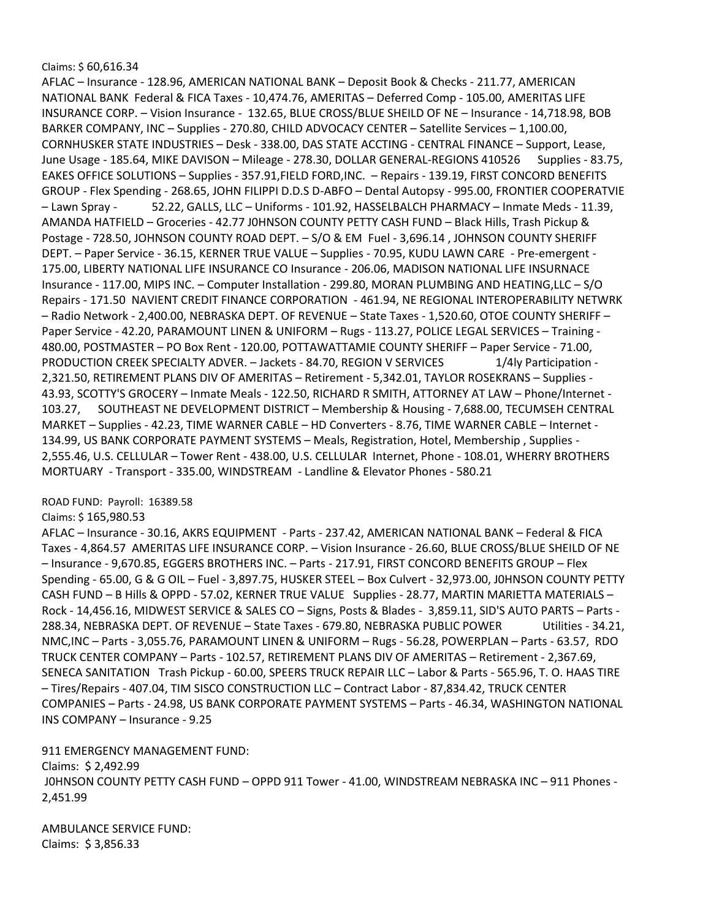## Claims: \$ 60,616.34

AFLAC – Insurance - 128.96, AMERICAN NATIONAL BANK – Deposit Book & Checks - 211.77, AMERICAN NATIONAL BANK Federal & FICA Taxes - 10,474.76, AMERITAS – Deferred Comp - 105.00, AMERITAS LIFE INSURANCE CORP. – Vision Insurance - 132.65, BLUE CROSS/BLUE SHEILD OF NE – Insurance - 14,718.98, BOB BARKER COMPANY, INC – Supplies - 270.80, CHILD ADVOCACY CENTER – Satellite Services – 1,100.00, CORNHUSKER STATE INDUSTRIES – Desk - 338.00, DAS STATE ACCTING - CENTRAL FINANCE – Support, Lease, June Usage - 185.64, MIKE DAVISON – Mileage - 278.30, DOLLAR GENERAL-REGIONS 410526 Supplies - 83.75, EAKES OFFICE SOLUTIONS – Supplies - 357.91,FIELD FORD,INC. – Repairs - 139.19, FIRST CONCORD BENEFITS GROUP - Flex Spending - 268.65, JOHN FILIPPI D.D.S D-ABFO – Dental Autopsy - 995.00, FRONTIER COOPERATVIE – Lawn Spray - 52.22, GALLS, LLC – Uniforms - 101.92, HASSELBALCH PHARMACY – Inmate Meds - 11.39, AMANDA HATFIELD – Groceries - 42.77 J0HNSON COUNTY PETTY CASH FUND – Black Hills, Trash Pickup & Postage - 728.50, JOHNSON COUNTY ROAD DEPT. – S/O & EM Fuel - 3,696.14 , JOHNSON COUNTY SHERIFF DEPT. – Paper Service - 36.15, KERNER TRUE VALUE – Supplies - 70.95, KUDU LAWN CARE - Pre-emergent - 175.00, LIBERTY NATIONAL LIFE INSURANCE CO Insurance - 206.06, MADISON NATIONAL LIFE INSURNACE Insurance - 117.00, MIPS INC. – Computer Installation - 299.80, MORAN PLUMBING AND HEATING,LLC – S/O Repairs - 171.50 NAVIENT CREDIT FINANCE CORPORATION - 461.94, NE REGIONAL INTEROPERABILITY NETWRK – Radio Network - 2,400.00, NEBRASKA DEPT. OF REVENUE – State Taxes - 1,520.60, OTOE COUNTY SHERIFF – Paper Service - 42.20, PARAMOUNT LINEN & UNIFORM – Rugs - 113.27, POLICE LEGAL SERVICES – Training - 480.00, POSTMASTER – PO Box Rent - 120.00, POTTAWATTAMIE COUNTY SHERIFF – Paper Service - 71.00, PRODUCTION CREEK SPECIALTY ADVER. - Jackets - 84.70, REGION V SERVICES 1/4ly Participation -2,321.50, RETIREMENT PLANS DIV OF AMERITAS – Retirement - 5,342.01, TAYLOR ROSEKRANS – Supplies - 43.93, SCOTTY'S GROCERY – Inmate Meals - 122.50, RICHARD R SMITH, ATTORNEY AT LAW – Phone/Internet - 103.27, SOUTHEAST NE DEVELOPMENT DISTRICT – Membership & Housing - 7,688.00, TECUMSEH CENTRAL MARKET – Supplies - 42.23, TIME WARNER CABLE – HD Converters - 8.76, TIME WARNER CABLE – Internet - 134.99, US BANK CORPORATE PAYMENT SYSTEMS – Meals, Registration, Hotel, Membership , Supplies - 2,555.46, U.S. CELLULAR – Tower Rent - 438.00, U.S. CELLULAR Internet, Phone - 108.01, WHERRY BROTHERS MORTUARY - Transport - 335.00, WINDSTREAM - Landline & Elevator Phones - 580.21

ROAD FUND: Payroll: 16389.58

## Claims: \$ 165,980.53

AFLAC – Insurance - 30.16, AKRS EQUIPMENT - Parts - 237.42, AMERICAN NATIONAL BANK – Federal & FICA Taxes - 4,864.57 AMERITAS LIFE INSURANCE CORP. – Vision Insurance - 26.60, BLUE CROSS/BLUE SHEILD OF NE – Insurance - 9,670.85, EGGERS BROTHERS INC. – Parts - 217.91, FIRST CONCORD BENEFITS GROUP – Flex Spending - 65.00, G & G OIL – Fuel - 3,897.75, HUSKER STEEL – Box Culvert - 32,973.00, J0HNSON COUNTY PETTY CASH FUND – B Hills & OPPD - 57.02, KERNER TRUE VALUE Supplies - 28.77, MARTIN MARIETTA MATERIALS – Rock - 14,456.16, MIDWEST SERVICE & SALES CO – Signs, Posts & Blades - 3,859.11, SID'S AUTO PARTS – Parts - 288.34, NEBRASKA DEPT. OF REVENUE – State Taxes - 679.80, NEBRASKA PUBLIC POWER Utilities - 34.21, NMC,INC – Parts - 3,055.76, PARAMOUNT LINEN & UNIFORM – Rugs - 56.28, POWERPLAN – Parts - 63.57, RDO TRUCK CENTER COMPANY – Parts - 102.57, RETIREMENT PLANS DIV OF AMERITAS – Retirement - 2,367.69, SENECA SANITATION Trash Pickup - 60.00, SPEERS TRUCK REPAIR LLC – Labor & Parts - 565.96, T. O. HAAS TIRE – Tires/Repairs - 407.04, TIM SISCO CONSTRUCTION LLC – Contract Labor - 87,834.42, TRUCK CENTER COMPANIES – Parts - 24.98, US BANK CORPORATE PAYMENT SYSTEMS – Parts - 46.34, WASHINGTON NATIONAL INS COMPANY – Insurance - 9.25

911 EMERGENCY MANAGEMENT FUND:

Claims: \$ 2,492.99 J0HNSON COUNTY PETTY CASH FUND – OPPD 911 Tower - 41.00, WINDSTREAM NEBRASKA INC – 911 Phones - 2,451.99

AMBULANCE SERVICE FUND: Claims: \$ 3,856.33